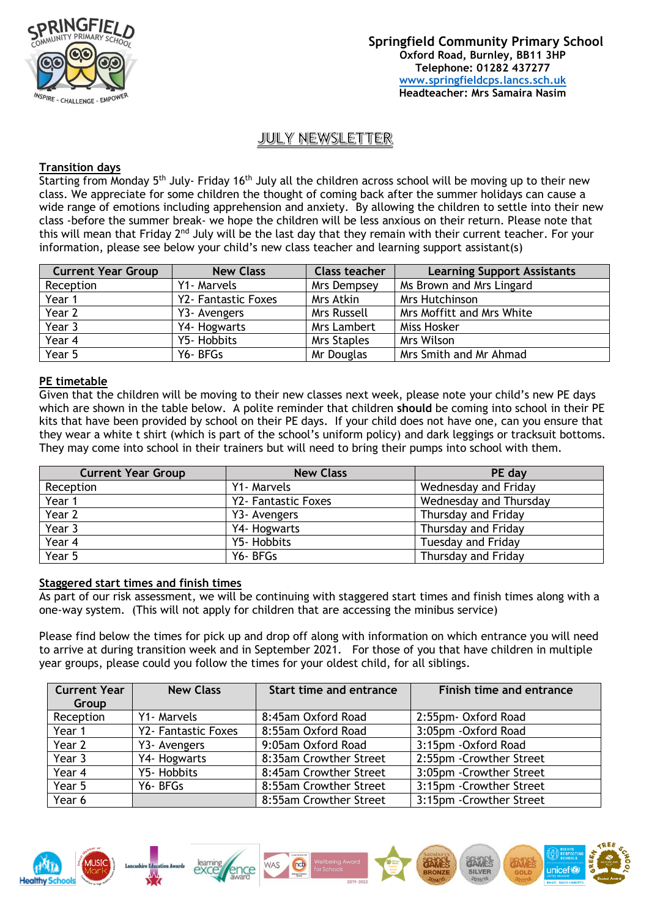

# JULY NEWSLETTER

## **Transition days**

Starting from Monday 5<sup>th</sup> July- Friday 16<sup>th</sup> July all the children across school will be moving up to their new class. We appreciate for some children the thought of coming back after the summer holidays can cause a wide range of emotions including apprehension and anxiety. By allowing the children to settle into their new class -before the summer break- we hope the children will be less anxious on their return. Please note that this will mean that Friday 2<sup>nd</sup> July will be the last day that they remain with their current teacher. For your information, please see below your child's new class teacher and learning support assistant(s)

| <b>Current Year Group</b> | <b>New Class</b>    | <b>Class teacher</b> | <b>Learning Support Assistants</b> |
|---------------------------|---------------------|----------------------|------------------------------------|
| Reception                 | Y1- Marvels         | Mrs Dempsey          | Ms Brown and Mrs Lingard           |
| Year 1                    | Y2- Fantastic Foxes | Mrs Atkin            | <b>Mrs Hutchinson</b>              |
| Year 2                    | Y3- Avengers        | Mrs Russell          | Mrs Moffitt and Mrs White          |
| Year 3                    | Y4- Hogwarts        | Mrs Lambert          | Miss Hosker                        |
| Year 4                    | Y5- Hobbits         | <b>Mrs Staples</b>   | Mrs Wilson                         |
| Year 5                    | Y6-BFGs             | Mr Douglas           | Mrs Smith and Mr Ahmad             |

## **PE timetable**

Given that the children will be moving to their new classes next week, please note your child's new PE days which are shown in the table below. A polite reminder that children **should** be coming into school in their PE kits that have been provided by school on their PE days. If your child does not have one, can you ensure that they wear a white t shirt (which is part of the school's uniform policy) and dark leggings or tracksuit bottoms. They may come into school in their trainers but will need to bring their pumps into school with them.

| <b>Current Year Group</b> | <b>New Class</b>    | PE day                 |
|---------------------------|---------------------|------------------------|
| Reception                 | Y1- Marvels         | Wednesday and Friday   |
| Year 1                    | Y2- Fantastic Foxes | Wednesday and Thursday |
| Year 2                    | Y3- Avengers        | Thursday and Friday    |
| Year 3                    | Y4- Hogwarts        | Thursday and Friday    |
| Year 4                    | Y5- Hobbits         | Tuesday and Friday     |
| Year 5                    | Y6-BFGs             | Thursday and Friday    |

#### **Staggered start times and finish times**

As part of our risk assessment, we will be continuing with staggered start times and finish times along with a one-way system. (This will not apply for children that are accessing the minibus service)

Please find below the times for pick up and drop off along with information on which entrance you will need to arrive at during transition week and in September 2021. For those of you that have children in multiple year groups, please could you follow the times for your oldest child, for all siblings.

| <b>Current Year</b><br>Group | <b>New Class</b>    | <b>Start time and entrance</b> | Finish time and entrance |
|------------------------------|---------------------|--------------------------------|--------------------------|
| Reception                    | Y1- Marvels         | 8:45am Oxford Road             | 2:55pm- Oxford Road      |
| Year 1                       | Y2- Fantastic Foxes | 8:55am Oxford Road             | 3:05pm - Oxford Road     |
| Year 2                       | Y3- Avengers        | 9:05am Oxford Road             | 3:15pm - Oxford Road     |
| Year 3                       | Y4- Hogwarts        | 8:35am Crowther Street         | 2:55pm - Crowther Street |
| Year 4                       | Y5- Hobbits         | 8:45am Crowther Street         | 3:05pm - Crowther Street |
| Year 5                       | Y6-BFGs             | 8:55am Crowther Street         | 3:15pm - Crowther Street |
| Year 6                       |                     | 8:55am Crowther Street         | 3:15pm - Crowther Street |

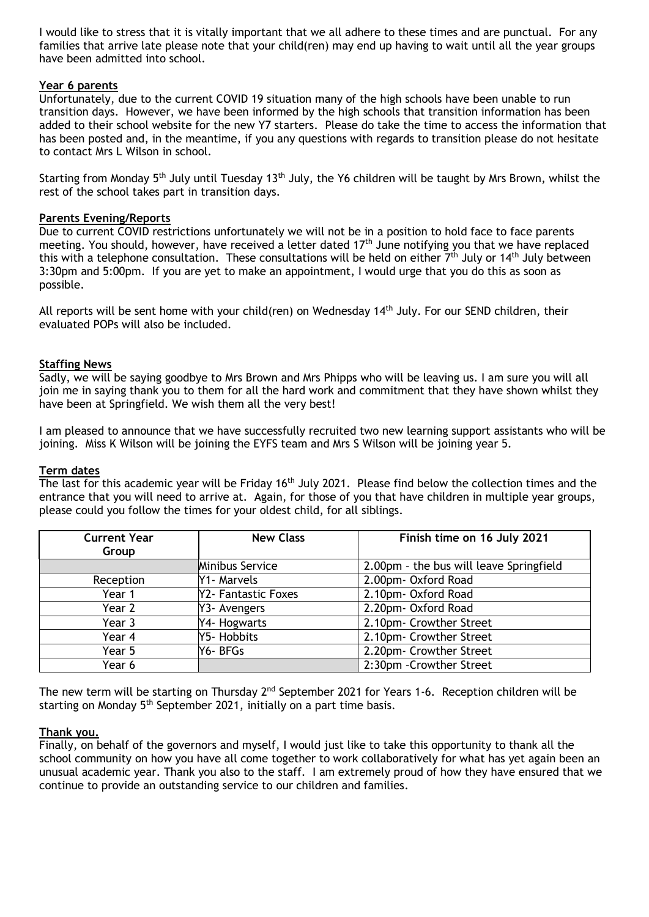I would like to stress that it is vitally important that we all adhere to these times and are punctual. For any families that arrive late please note that your child(ren) may end up having to wait until all the year groups have been admitted into school.

## **Year 6 parents**

Unfortunately, due to the current COVID 19 situation many of the high schools have been unable to run transition days. However, we have been informed by the high schools that transition information has been added to their school website for the new Y7 starters. Please do take the time to access the information that has been posted and, in the meantime, if you any questions with regards to transition please do not hesitate to contact Mrs L Wilson in school.

Starting from Monday 5<sup>th</sup> July until Tuesday 13<sup>th</sup> July, the Y6 children will be taught by Mrs Brown, whilst the rest of the school takes part in transition days.

#### **Parents Evening/Reports**

Due to current COVID restrictions unfortunately we will not be in a position to hold face to face parents meeting. You should, however, have received a letter dated 17<sup>th</sup> June notifying you that we have replaced this with a telephone consultation. These consultations will be held on either  $7<sup>th</sup>$  July or 14<sup>th</sup> July between 3:30pm and 5:00pm. If you are yet to make an appointment, I would urge that you do this as soon as possible.

All reports will be sent home with your child(ren) on Wednesday  $14<sup>th</sup>$  July. For our SEND children, their evaluated POPs will also be included.

## **Staffing News**

Sadly, we will be saying goodbye to Mrs Brown and Mrs Phipps who will be leaving us. I am sure you will all join me in saying thank you to them for all the hard work and commitment that they have shown whilst they have been at Springfield. We wish them all the very best!

I am pleased to announce that we have successfully recruited two new learning support assistants who will be joining. Miss K Wilson will be joining the EYFS team and Mrs S Wilson will be joining year 5.

#### **Term dates**

The last for this academic year will be Friday 16<sup>th</sup> July 2021. Please find below the collection times and the entrance that you will need to arrive at. Again, for those of you that have children in multiple year groups, please could you follow the times for your oldest child, for all siblings.

| <b>Current Year</b><br>Group | <b>New Class</b>       | Finish time on 16 July 2021             |
|------------------------------|------------------------|-----------------------------------------|
|                              | <b>Minibus Service</b> | 2.00pm - the bus will leave Springfield |
| Reception                    | Y1- Marvels            | 2.00pm- Oxford Road                     |
| Year 1                       | Y2- Fantastic Foxes    | 2.10pm- Oxford Road                     |
| Year 2                       | Y3- Avengers           | 2.20pm- Oxford Road                     |
| Year 3                       | Y4- Hogwarts           | 2.10pm- Crowther Street                 |
| Year 4                       | Y5- Hobbits            | 2.10pm- Crowther Street                 |
| Year 5                       | Y6- BFGs               | 2.20pm- Crowther Street                 |
| Year 6                       |                        | 2:30pm -Crowther Street                 |

The new term will be starting on Thursday  $2^{nd}$  September 2021 for Years 1-6. Reception children will be starting on Monday 5<sup>th</sup> September 2021, initially on a part time basis.

#### **Thank you.**

Finally, on behalf of the governors and myself, I would just like to take this opportunity to thank all the school community on how you have all come together to work collaboratively for what has yet again been an unusual academic year. Thank you also to the staff. I am extremely proud of how they have ensured that we continue to provide an outstanding service to our children and families.